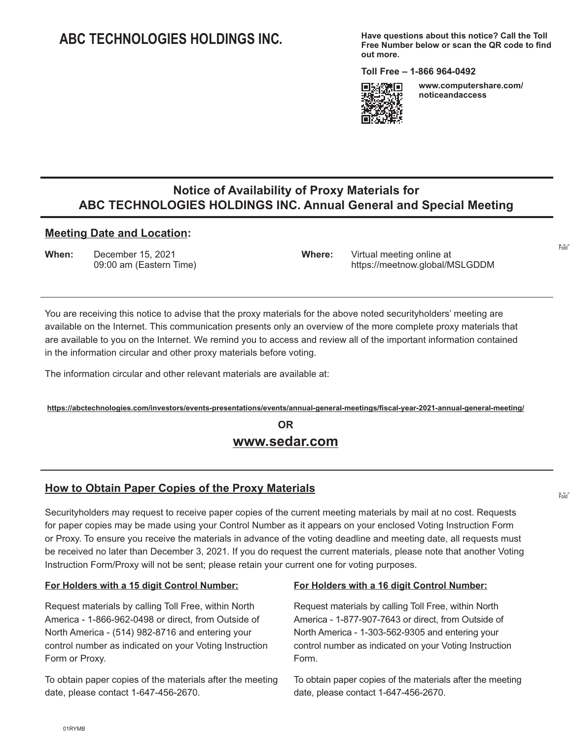# **ABC TECHNOLOGIES HOLDINGS INC.**

**Have questions about this notice? Call the Toll Free Number below or scan the QR code to find out more.**

**Toll Free – 1-866 964-0492** 



**www.computershare.com/ noticeandaccess** 

Fold

Fold

## **Notice of Availability of Proxy Materials for ABC TECHNOLOGIES HOLDINGS INC. Annual General and Special Meeting**

#### **Meeting Date and Location:**

**When:** December 15, 2021 **Where:** Virtual meeting online at

09:00 am (Eastern Time) https://meetnow.global/MSLGDDM

You are receiving this notice to advise that the proxy materials for the above noted securityholders' meeting are available on the Internet. This communication presents only an overview of the more complete proxy materials that are available to you on the Internet. We remind you to access and review all of the important information contained in the information circular and other proxy materials before voting.

The information circular and other relevant materials are available at:

**https://abctechnologies.com/investors/events-presentations/events/annual-general-meetings/fiscal-year-2021-annual-general-meeting/**

# **OR www.sedar.com**

## **How to Obtain Paper Copies of the Proxy Materials**

Securityholders may request to receive paper copies of the current meeting materials by mail at no cost. Requests for paper copies may be made using your Control Number as it appears on your enclosed Voting Instruction Form or Proxy. To ensure you receive the materials in advance of the voting deadline and meeting date, all requests must be received no later than December 3, 2021. If you do request the current materials, please note that another Voting Instruction Form/Proxy will not be sent; please retain your current one for voting purposes.

#### **For Holders with a 15 digit Control Number:**

Request materials by calling Toll Free, within North America - 1-866-962-0498 or direct, from Outside of North America - (514) 982-8716 and entering your control number as indicated on your Voting Instruction Form or Proxy.

To obtain paper copies of the materials after the meeting date, please contact 1-647-456-2670.

#### **For Holders with a 16 digit Control Number:**

Request materials by calling Toll Free, within North America - 1-877-907-7643 or direct, from Outside of North America - 1-303-562-9305 and entering your control number as indicated on your Voting Instruction Form.

To obtain paper copies of the materials after the meeting date, please contact 1-647-456-2670.